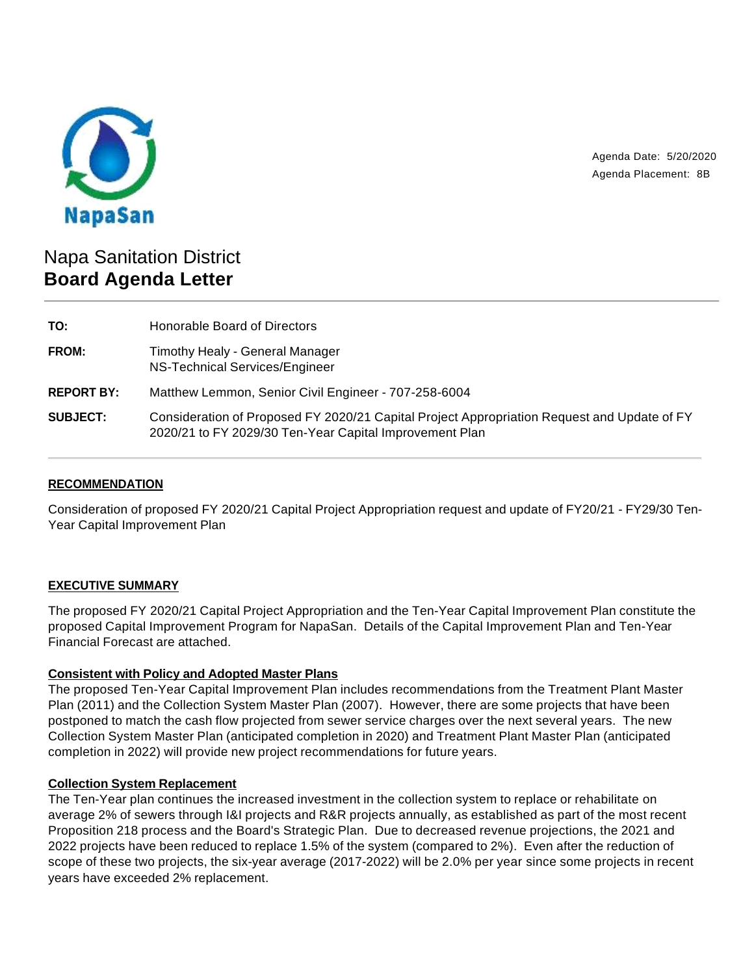

Agenda Date: 5/20/2020 Agenda Placement: 8B

# Napa Sanitation District **Board Agenda Letter**

| TO:               | Honorable Board of Directors                                                                                                                           |
|-------------------|--------------------------------------------------------------------------------------------------------------------------------------------------------|
| FROM:             | Timothy Healy - General Manager<br>NS-Technical Services/Engineer                                                                                      |
| <b>REPORT BY:</b> | Matthew Lemmon, Senior Civil Engineer - 707-258-6004                                                                                                   |
| <b>SUBJECT:</b>   | Consideration of Proposed FY 2020/21 Capital Project Appropriation Request and Update of FY<br>2020/21 to FY 2029/30 Ten-Year Capital Improvement Plan |

## **RECOMMENDATION**

Consideration of proposed FY 2020/21 Capital Project Appropriation request and update of FY20/21 - FY29/30 Ten-Year Capital Improvement Plan

## **EXECUTIVE SUMMARY**

The proposed FY 2020/21 Capital Project Appropriation and the Ten-Year Capital Improvement Plan constitute the proposed Capital Improvement Program for NapaSan. Details of the Capital Improvement Plan and Ten-Year Financial Forecast are attached.

## **Consistent with Policy and Adopted Master Plans**

The proposed Ten-Year Capital Improvement Plan includes recommendations from the Treatment Plant Master Plan (2011) and the Collection System Master Plan (2007). However, there are some projects that have been postponed to match the cash flow projected from sewer service charges over the next several years. The new Collection System Master Plan (anticipated completion in 2020) and Treatment Plant Master Plan (anticipated completion in 2022) will provide new project recommendations for future years.

#### **Collection System Replacement**

The Ten-Year plan continues the increased investment in the collection system to replace or rehabilitate on average 2% of sewers through I&I projects and R&R projects annually, as established as part of the most recent Proposition 218 process and the Board's Strategic Plan. Due to decreased revenue projections, the 2021 and 2022 projects have been reduced to replace 1.5% of the system (compared to 2%). Even after the reduction of scope of these two projects, the six-year average (2017-2022) will be 2.0% per year since some projects in recent years have exceeded 2% replacement.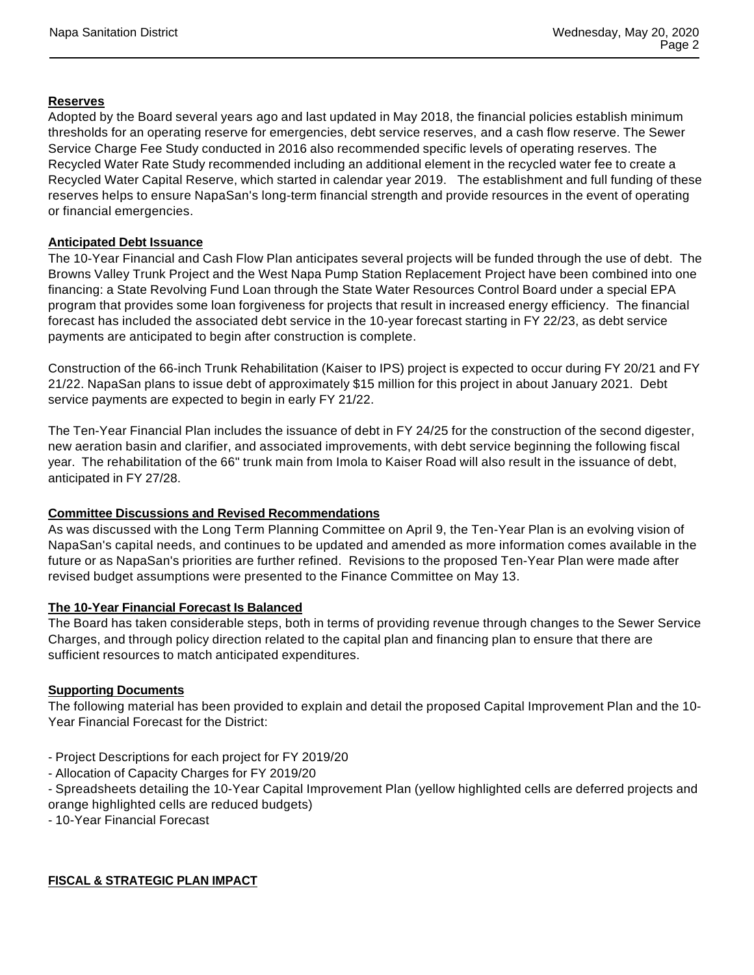### **Reserves**

Adopted by the Board several years ago and last updated in May 2018, the financial policies establish minimum thresholds for an operating reserve for emergencies, debt service reserves, and a cash flow reserve. The Sewer Service Charge Fee Study conducted in 2016 also recommended specific levels of operating reserves. The Recycled Water Rate Study recommended including an additional element in the recycled water fee to create a Recycled Water Capital Reserve, which started in calendar year 2019. The establishment and full funding of these reserves helps to ensure NapaSan's long-term financial strength and provide resources in the event of operating or financial emergencies.

#### **Anticipated Debt Issuance**

The 10-Year Financial and Cash Flow Plan anticipates several projects will be funded through the use of debt. The Browns Valley Trunk Project and the West Napa Pump Station Replacement Project have been combined into one financing: a State Revolving Fund Loan through the State Water Resources Control Board under a special EPA program that provides some loan forgiveness for projects that result in increased energy efficiency. The financial forecast has included the associated debt service in the 10-year forecast starting in FY 22/23, as debt service payments are anticipated to begin after construction is complete.

Construction of the 66-inch Trunk Rehabilitation (Kaiser to IPS) project is expected to occur during FY 20/21 and FY 21/22. NapaSan plans to issue debt of approximately \$15 million for this project in about January 2021. Debt service payments are expected to begin in early FY 21/22.

The Ten-Year Financial Plan includes the issuance of debt in FY 24/25 for the construction of the second digester, new aeration basin and clarifier, and associated improvements, with debt service beginning the following fiscal year. The rehabilitation of the 66" trunk main from Imola to Kaiser Road will also result in the issuance of debt, anticipated in FY 27/28.

#### **Committee Discussions and Revised Recommendations**

As was discussed with the Long Term Planning Committee on April 9, the Ten-Year Plan is an evolving vision of NapaSan's capital needs, and continues to be updated and amended as more information comes available in the future or as NapaSan's priorities are further refined. Revisions to the proposed Ten-Year Plan were made after revised budget assumptions were presented to the Finance Committee on May 13.

#### **The 10-Year Financial Forecast Is Balanced**

The Board has taken considerable steps, both in terms of providing revenue through changes to the Sewer Service Charges, and through policy direction related to the capital plan and financing plan to ensure that there are sufficient resources to match anticipated expenditures.

#### **Supporting Documents**

The following material has been provided to explain and detail the proposed Capital Improvement Plan and the 10- Year Financial Forecast for the District:

- Project Descriptions for each project for FY 2019/20
- Allocation of Capacity Charges for FY 2019/20
- Spreadsheets detailing the 10-Year Capital Improvement Plan (yellow highlighted cells are deferred projects and orange highlighted cells are reduced budgets)
- 10-Year Financial Forecast

#### **FISCAL & STRATEGIC PLAN IMPACT**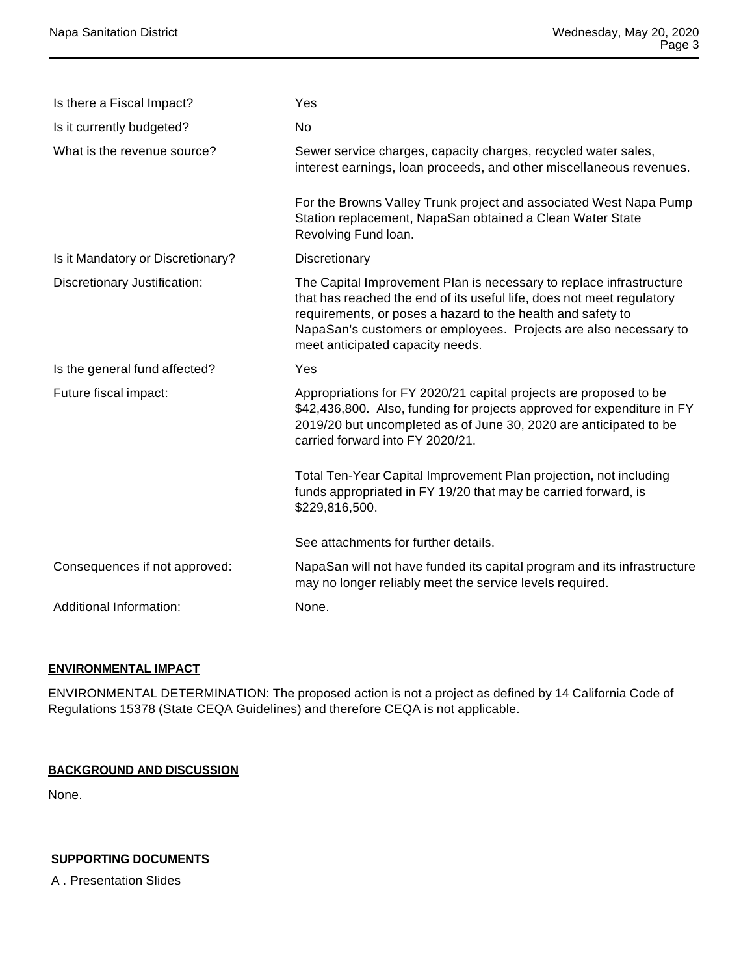| Is there a Fiscal Impact?         | Yes                                                                                                                                                                                                                                                                                                                 |
|-----------------------------------|---------------------------------------------------------------------------------------------------------------------------------------------------------------------------------------------------------------------------------------------------------------------------------------------------------------------|
| Is it currently budgeted?         | <b>No</b>                                                                                                                                                                                                                                                                                                           |
| What is the revenue source?       | Sewer service charges, capacity charges, recycled water sales,<br>interest earnings, loan proceeds, and other miscellaneous revenues.                                                                                                                                                                               |
|                                   | For the Browns Valley Trunk project and associated West Napa Pump<br>Station replacement, NapaSan obtained a Clean Water State<br>Revolving Fund loan.                                                                                                                                                              |
| Is it Mandatory or Discretionary? | Discretionary                                                                                                                                                                                                                                                                                                       |
| Discretionary Justification:      | The Capital Improvement Plan is necessary to replace infrastructure<br>that has reached the end of its useful life, does not meet regulatory<br>requirements, or poses a hazard to the health and safety to<br>NapaSan's customers or employees. Projects are also necessary to<br>meet anticipated capacity needs. |
| Is the general fund affected?     | Yes                                                                                                                                                                                                                                                                                                                 |
| Future fiscal impact:             | Appropriations for FY 2020/21 capital projects are proposed to be<br>\$42,436,800. Also, funding for projects approved for expenditure in FY<br>2019/20 but uncompleted as of June 30, 2020 are anticipated to be<br>carried forward into FY 2020/21.                                                               |
|                                   | Total Ten-Year Capital Improvement Plan projection, not including<br>funds appropriated in FY 19/20 that may be carried forward, is<br>\$229,816,500.                                                                                                                                                               |
|                                   | See attachments for further details.                                                                                                                                                                                                                                                                                |
| Consequences if not approved:     | NapaSan will not have funded its capital program and its infrastructure<br>may no longer reliably meet the service levels required.                                                                                                                                                                                 |
| Additional Information:           | None.                                                                                                                                                                                                                                                                                                               |

## **ENVIRONMENTAL IMPACT**

ENVIRONMENTAL DETERMINATION: The proposed action is not a project as defined by 14 California Code of Regulations 15378 (State CEQA Guidelines) and therefore CEQA is not applicable.

#### **BACKGROUND AND DISCUSSION**

None.

## **SUPPORTING DOCUMENTS**

A . Presentation Slides